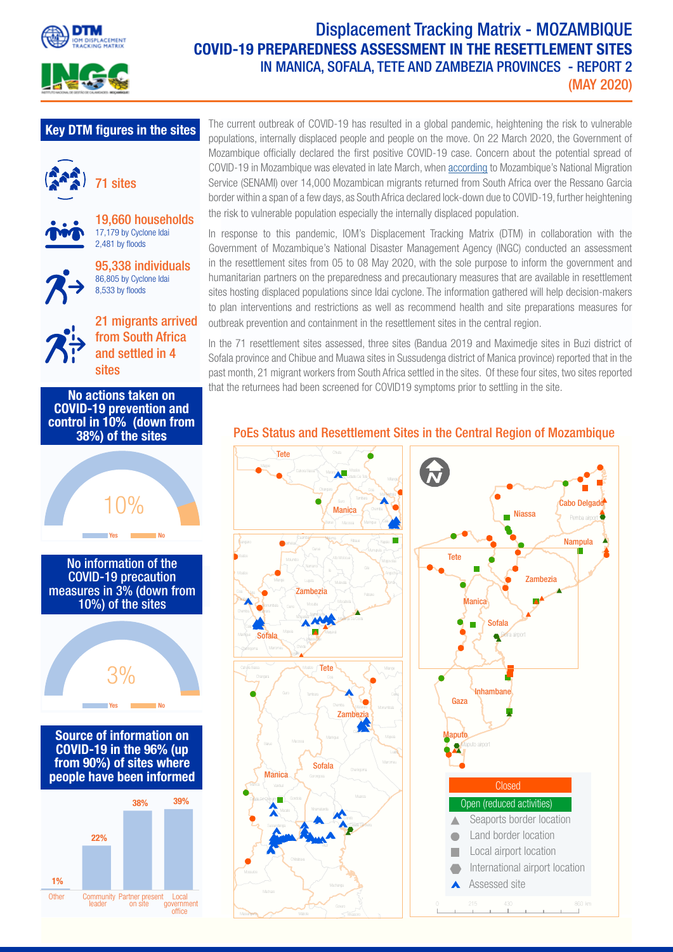



## Displacement Tracking Matrix - MOZAMBIQUE COVID-19 PREPAREDNESS ASSESSMENT IN THE RESETTLEMENT SITES IN MANICA, SOFALA, TETE AND ZAMBEZIA PROVINCES - REPORT 2 (MAY 2020)

## Key DTM figures in the sites





19,660 households 17,179 by Cyclone Idai



2,481 by floods

95,338 individuals 86,805 by Cyclone Idai 8,533 by floods

21 migrants arrived from South Africa and settled in 4 sites







The current outbreak of COVID-19 has resulted in a global pandemic, heightening the risk to vulnerable populations, internally displaced people and people on the move. On 22 March 2020, the Government of Mozambique officially declared the first positive COVID-19 case. Concern about the potential spread of COVID-19 in Mozambique was elevated in late March, when [according](https://www.iom.int/news/mozambican-workers-returning-south-africa-engaged-check-covid-19s-spread) to Mozambique's National Migration Service (SENAMI) over 14,000 Mozambican migrants returned from South Africa over the Ressano Garcia border within a span of a few days, as South Africa declared lock-down due to COVID-19, further heightening the risk to vulnerable population especially the internally displaced population.

In response to this pandemic, IOM's Displacement Tracking Matrix (DTM) in collaboration with the Government of Mozambique's National Disaster Management Agency (INGC) conducted an assessment in the resettlement sites from 05 to 08 May 2020, with the sole purpose to inform the government and humanitarian partners on the preparedness and precautionary measures that are available in resettlement sites hosting displaced populations since Idai cyclone. The information gathered will help decision-makers to plan interventions and restrictions as well as recommend health and site preparations measures for outbreak prevention and containment in the resettlement sites in the central region.

In the 71 resettlement sites assessed, three sites (Bandua 2019 and Maximedje sites in Buzi district of Sofala province and Chibue and Muawa sites in Sussudenga district of Manica province) reported that in the past month, 21 migrant workers from South Africa settled in the sites. Of these four sites, two sites reported that the returnees had been screened for COVID19 symptoms prior to settling in the site.

### PoEs Status and Resettlement Sites in the Central Region of Mozambique

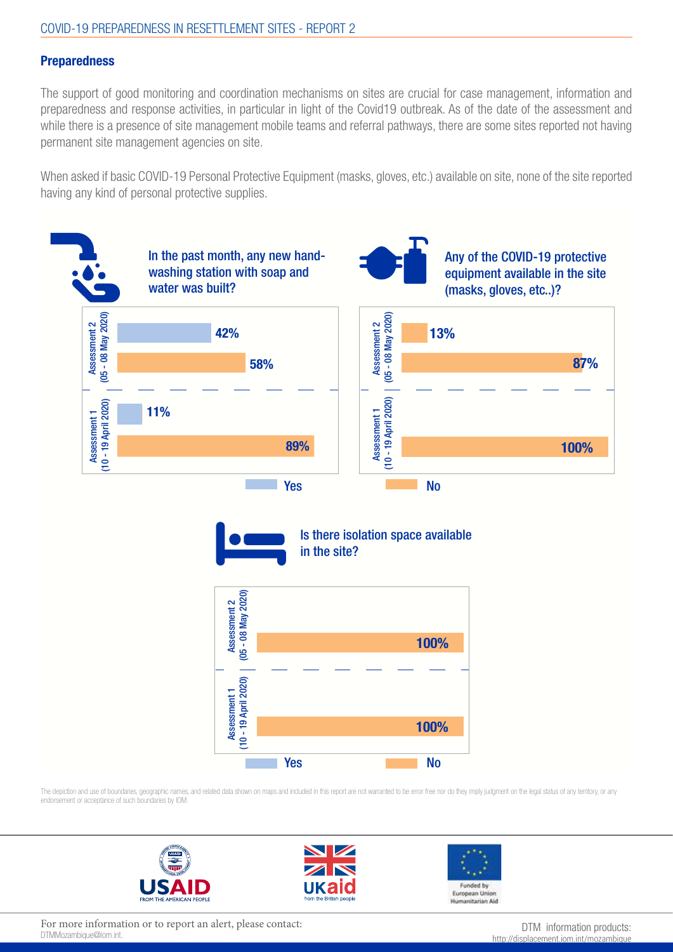#### **Preparedness**

The support of good monitoring and coordination mechanisms on sites are crucial for case management, information and preparedness and response activities, in particular in light of the Covid19 outbreak. As of the date of the assessment and while there is a presence of site management mobile teams and referral pathways, there are some sites reported not having permanent site management agencies on site.

When asked if basic COVID-19 Personal Protective Equipment (masks, gloves, etc.) available on site, none of the site reported having any kind of personal protective supplies.



The depiction and use of boundaries, geographic names, and related data shown on maps and included in this report are not warranted to be error free nor do they imply judgment on the legal status of any territory, or any endorsement or acceptance of such boundaries by IOM.







For more information or to report an alert, please contact:<br>DTMMozambique@iom.int. bttp://displacement.iom.int/mozambique